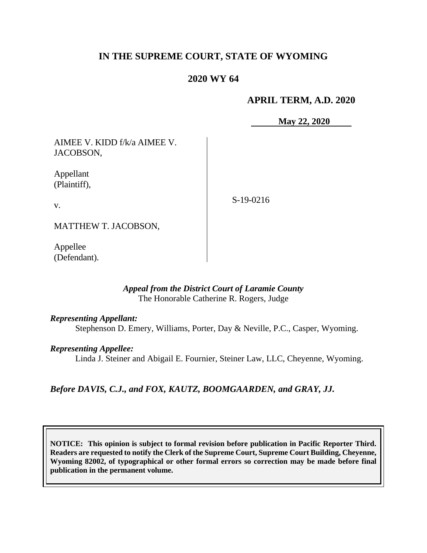# **IN THE SUPREME COURT, STATE OF WYOMING**

# **2020 WY 64**

## **APRIL TERM, A.D. 2020**

**May 22, 2020**

AIMEE V. KIDD f/k/a AIMEE V. JACOBSON,

Appellant (Plaintiff),

v.

S-19-0216

MATTHEW T. JACOBSON,

Appellee (Defendant).

#### *Appeal from the District Court of Laramie County* The Honorable Catherine R. Rogers, Judge

#### *Representing Appellant:*

Stephenson D. Emery, Williams, Porter, Day & Neville, P.C., Casper, Wyoming.

### *Representing Appellee:*

Linda J. Steiner and Abigail E. Fournier, Steiner Law, LLC, Cheyenne, Wyoming.

# *Before DAVIS, C.J., and FOX, KAUTZ, BOOMGAARDEN, and GRAY, JJ.*

**NOTICE: This opinion is subject to formal revision before publication in Pacific Reporter Third. Readers are requested to notify the Clerk of the Supreme Court, Supreme Court Building, Cheyenne, Wyoming 82002, of typographical or other formal errors so correction may be made before final publication in the permanent volume.**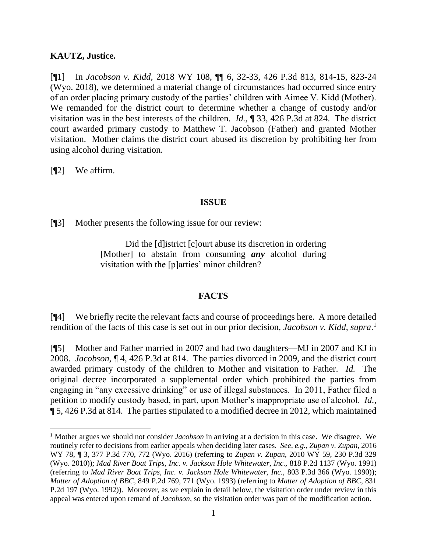## **KAUTZ, Justice.**

[¶1] In *Jacobson v. Kidd,* 2018 WY 108, ¶¶ 6, 32-33, 426 P.3d 813, 814-15, 823-24 (Wyo. 2018), we determined a material change of circumstances had occurred since entry of an order placing primary custody of the parties' children with Aimee V. Kidd (Mother). We remanded for the district court to determine whether a change of custody and/or visitation was in the best interests of the children. *Id.,* ¶ 33, 426 P.3d at 824. The district court awarded primary custody to Matthew T. Jacobson (Father) and granted Mother visitation. Mother claims the district court abused its discretion by prohibiting her from using alcohol during visitation.

[¶2] We affirm.

## **ISSUE**

[¶3] Mother presents the following issue for our review:

Did the [d]istrict [c]ourt abuse its discretion in ordering [Mother] to abstain from consuming *any* alcohol during visitation with the [p]arties' minor children?

# **FACTS**

[¶4] We briefly recite the relevant facts and course of proceedings here. A more detailed rendition of the facts of this case is set out in our prior decision, *Jacobson v. Kidd, supra*.<sup>1</sup>

[¶5] Mother and Father married in 2007 and had two daughters—MJ in 2007 and KJ in 2008. *Jacobson,* ¶ 4, 426 P.3d at 814. The parties divorced in 2009, and the district court awarded primary custody of the children to Mother and visitation to Father. *Id.* The original decree incorporated a supplemental order which prohibited the parties from engaging in "any excessive drinking" or use of illegal substances. In 2011, Father filed a petition to modify custody based, in part, upon Mother's inappropriate use of alcohol. *Id.,*  ¶ 5, 426 P.3d at 814. The parties stipulated to a modified decree in 2012, which maintained

<sup>1</sup> Mother argues we should not consider *Jacobson* in arriving at a decision in this case. We disagree. We routinely refer to decisions from earlier appeals when deciding later cases. *See, e.g.*, *Zupan v. Zupan,* 2016 WY 78, ¶ 3, 377 P.3d 770, 772 (Wyo. 2016) (referring to *Zupan v. Zupan,* 2010 WY 59, 230 P.3d 329 (Wyo. 2010)); *Mad River Boat Trips, Inc. v. Jackson Hole Whitewater, Inc.,* 818 P.2d 1137 (Wyo. 1991) (referring to *Mad River Boat Trips, Inc. v. Jackson Hole Whitewater, Inc.,* 803 P.3d 366 (Wyo. 1990)); *Matter of Adoption of BBC,* 849 P.2d 769, 771 (Wyo. 1993) (referring to *Matter of Adoption of BBC,* 831 P.2d 197 (Wyo. 1992)). Moreover, as we explain in detail below, the visitation order under review in this appeal was entered upon remand of *Jacobson,* so the visitation order was part of the modification action*.*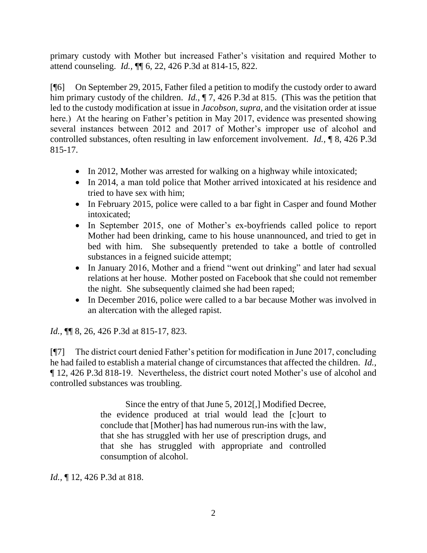primary custody with Mother but increased Father's visitation and required Mother to attend counseling. *Id.,* ¶¶ 6, 22, 426 P.3d at 814-15, 822.

[¶6] On September 29, 2015, Father filed a petition to modify the custody order to award him primary custody of the children. *Id.*,  $\P$  7, 426 P.3d at 815. (This was the petition that led to the custody modification at issue in *Jacobson, supra,* and the visitation order at issue here.) At the hearing on Father's petition in May 2017, evidence was presented showing several instances between 2012 and 2017 of Mother's improper use of alcohol and controlled substances, often resulting in law enforcement involvement. *Id.,* ¶ 8, 426 P.3d 815-17.

- In 2012, Mother was arrested for walking on a highway while intoxicated;
- In 2014, a man told police that Mother arrived intoxicated at his residence and tried to have sex with him;
- In February 2015, police were called to a bar fight in Casper and found Mother intoxicated;
- In September 2015, one of Mother's ex-boyfriends called police to report Mother had been drinking, came to his house unannounced, and tried to get in bed with him. She subsequently pretended to take a bottle of controlled substances in a feigned suicide attempt;
- In January 2016, Mother and a friend "went out drinking" and later had sexual relations at her house. Mother posted on Facebook that she could not remember the night. She subsequently claimed she had been raped;
- In December 2016, police were called to a bar because Mother was involved in an altercation with the alleged rapist.

*Id.,* ¶¶ 8, 26, 426 P.3d at 815-17, 823.

[¶7] The district court denied Father's petition for modification in June 2017, concluding he had failed to establish a material change of circumstances that affected the children. *Id.,*  ¶ 12, 426 P.3d 818-19. Nevertheless, the district court noted Mother's use of alcohol and controlled substances was troubling.

> Since the entry of that June 5, 2012[,] Modified Decree, the evidence produced at trial would lead the [c]ourt to conclude that [Mother] has had numerous run-ins with the law, that she has struggled with her use of prescription drugs, and that she has struggled with appropriate and controlled consumption of alcohol.

*Id.,* ¶ 12, 426 P.3d at 818.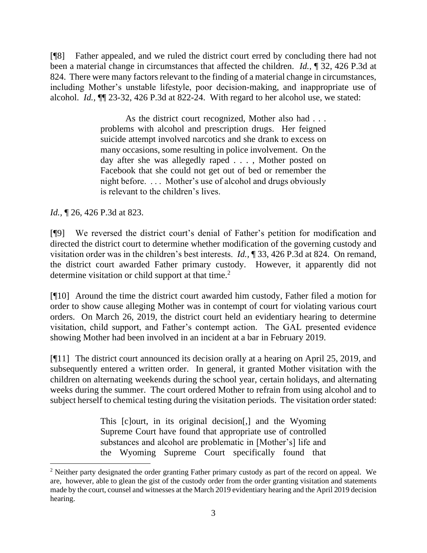[¶8] Father appealed, and we ruled the district court erred by concluding there had not been a material change in circumstances that affected the children. *Id.,* ¶ 32, 426 P.3d at 824. There were many factors relevant to the finding of a material change in circumstances, including Mother's unstable lifestyle, poor decision-making, and inappropriate use of alcohol. *Id.,* ¶¶ 23-32, 426 P.3d at 822-24. With regard to her alcohol use, we stated:

> As the district court recognized, Mother also had . . . problems with alcohol and prescription drugs. Her feigned suicide attempt involved narcotics and she drank to excess on many occasions, some resulting in police involvement. On the day after she was allegedly raped . . . , Mother posted on Facebook that she could not get out of bed or remember the night before. . . . Mother's use of alcohol and drugs obviously is relevant to the children's lives.

*Id.,* ¶ 26, 426 P.3d at 823.

[¶9] We reversed the district court's denial of Father's petition for modification and directed the district court to determine whether modification of the governing custody and visitation order was in the children's best interests. *Id.,* ¶ 33, 426 P.3d at 824. On remand, the district court awarded Father primary custody. However, it apparently did not determine visitation or child support at that time.<sup>2</sup>

[¶10] Around the time the district court awarded him custody, Father filed a motion for order to show cause alleging Mother was in contempt of court for violating various court orders. On March 26, 2019, the district court held an evidentiary hearing to determine visitation, child support, and Father's contempt action. The GAL presented evidence showing Mother had been involved in an incident at a bar in February 2019.

[¶11] The district court announced its decision orally at a hearing on April 25, 2019, and subsequently entered a written order. In general, it granted Mother visitation with the children on alternating weekends during the school year, certain holidays, and alternating weeks during the summer. The court ordered Mother to refrain from using alcohol and to subject herself to chemical testing during the visitation periods. The visitation order stated:

> This [c]ourt, in its original decision[,] and the Wyoming Supreme Court have found that appropriate use of controlled substances and alcohol are problematic in [Mother's] life and the Wyoming Supreme Court specifically found that

<sup>&</sup>lt;sup>2</sup> Neither party designated the order granting Father primary custody as part of the record on appeal. We are, however, able to glean the gist of the custody order from the order granting visitation and statements made by the court, counsel and witnesses at the March 2019 evidentiary hearing and the April 2019 decision hearing.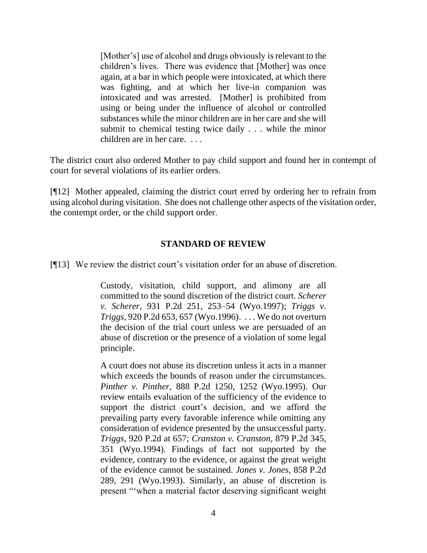[Mother's] use of alcohol and drugs obviously is relevant to the children's lives. There was evidence that [Mother] was once again, at a bar in which people were intoxicated, at which there was fighting, and at which her live-in companion was intoxicated and was arrested. [Mother] is prohibited from using or being under the influence of alcohol or controlled substances while the minor children are in her care and she will submit to chemical testing twice daily . . . while the minor children are in her care. . . .

The district court also ordered Mother to pay child support and found her in contempt of court for several violations of its earlier orders.

[¶12] Mother appealed, claiming the district court erred by ordering her to refrain from using alcohol during visitation. She does not challenge other aspects of the visitation order, the contempt order, or the child support order.

## **STANDARD OF REVIEW**

[¶13] We review the district court's visitation order for an abuse of discretion.

Custody, visitation, child support, and alimony are all committed to the sound discretion of the district court. *[Scherer](http://www.westlaw.com/Link/Document/FullText?findType=Y&serNum=1997044366&pubNum=661&originatingDoc=Ibb38f6dd9b4811e3a659df62eba144e8&refType=RP&fi=co_pp_sp_661_253&originationContext=document&vr=3.0&rs=cblt1.0&transitionType=DocumentItem&contextData=(sc.Search)#co_pp_sp_661_253)  v. Scherer,* [931 P.2d 251, 253–54 \(Wyo.1997\);](http://www.westlaw.com/Link/Document/FullText?findType=Y&serNum=1997044366&pubNum=661&originatingDoc=Ibb38f6dd9b4811e3a659df62eba144e8&refType=RP&fi=co_pp_sp_661_253&originationContext=document&vr=3.0&rs=cblt1.0&transitionType=DocumentItem&contextData=(sc.Search)#co_pp_sp_661_253) *[Triggs v.](http://www.westlaw.com/Link/Document/FullText?findType=Y&serNum=1996145487&pubNum=661&originatingDoc=Ibb38f6dd9b4811e3a659df62eba144e8&refType=RP&fi=co_pp_sp_661_657&originationContext=document&vr=3.0&rs=cblt1.0&transitionType=DocumentItem&contextData=(sc.Search)#co_pp_sp_661_657)  Triggs,* [920 P.2d 653, 657 \(Wyo.1996\).](http://www.westlaw.com/Link/Document/FullText?findType=Y&serNum=1996145487&pubNum=661&originatingDoc=Ibb38f6dd9b4811e3a659df62eba144e8&refType=RP&fi=co_pp_sp_661_657&originationContext=document&vr=3.0&rs=cblt1.0&transitionType=DocumentItem&contextData=(sc.Search)#co_pp_sp_661_657) . . . We do not overturn the decision of the trial court unless we are persuaded of an abuse of discretion or the presence of a violation of some legal principle.

A court does not abuse its discretion unless it acts in a manner which exceeds the bounds of reason under the circumstances. *Pinther v. Pinther,* [888 P.2d 1250, 1252 \(Wyo.1995\).](http://www.westlaw.com/Link/Document/FullText?findType=Y&serNum=1995028925&pubNum=661&originatingDoc=Ibb38f6dd9b4811e3a659df62eba144e8&refType=RP&fi=co_pp_sp_661_1252&originationContext=document&vr=3.0&rs=cblt1.0&transitionType=DocumentItem&contextData=(sc.Search)#co_pp_sp_661_1252) Our review entails evaluation of the sufficiency of the evidence to support the district court's decision, and we afford the prevailing party every favorable inference while omitting any consideration of evidence presented by the unsuccessful party. *Triggs,* [920 P.2d at 657;](http://www.westlaw.com/Link/Document/FullText?findType=Y&serNum=1996145487&pubNum=661&originatingDoc=Ibb38f6dd9b4811e3a659df62eba144e8&refType=RP&fi=co_pp_sp_661_657&originationContext=document&vr=3.0&rs=cblt1.0&transitionType=DocumentItem&contextData=(sc.Search)#co_pp_sp_661_657) *[Cranston v. Cranston,](http://www.westlaw.com/Link/Document/FullText?findType=Y&serNum=1994171490&pubNum=661&originatingDoc=Ibb38f6dd9b4811e3a659df62eba144e8&refType=RP&fi=co_pp_sp_661_351&originationContext=document&vr=3.0&rs=cblt1.0&transitionType=DocumentItem&contextData=(sc.Search)#co_pp_sp_661_351)* 879 P.2d 345, [351 \(Wyo.1994\).](http://www.westlaw.com/Link/Document/FullText?findType=Y&serNum=1994171490&pubNum=661&originatingDoc=Ibb38f6dd9b4811e3a659df62eba144e8&refType=RP&fi=co_pp_sp_661_351&originationContext=document&vr=3.0&rs=cblt1.0&transitionType=DocumentItem&contextData=(sc.Search)#co_pp_sp_661_351) Findings of fact not supported by the evidence, contrary to the evidence, or against the great weight of the evidence cannot be sustained. *[Jones v. Jones,](http://www.westlaw.com/Link/Document/FullText?findType=Y&serNum=1993157101&pubNum=661&originatingDoc=Ibb38f6dd9b4811e3a659df62eba144e8&refType=RP&fi=co_pp_sp_661_291&originationContext=document&vr=3.0&rs=cblt1.0&transitionType=DocumentItem&contextData=(sc.Search)#co_pp_sp_661_291)* 858 P.2d [289, 291 \(Wyo.1993\).](http://www.westlaw.com/Link/Document/FullText?findType=Y&serNum=1993157101&pubNum=661&originatingDoc=Ibb38f6dd9b4811e3a659df62eba144e8&refType=RP&fi=co_pp_sp_661_291&originationContext=document&vr=3.0&rs=cblt1.0&transitionType=DocumentItem&contextData=(sc.Search)#co_pp_sp_661_291) Similarly, an abuse of discretion is present "'when a material factor deserving significant weight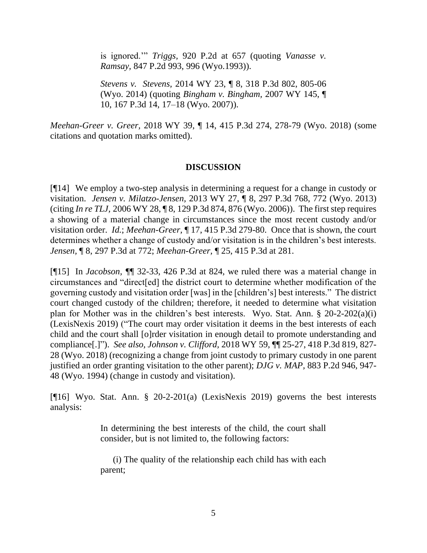is ignored.'" *Triggs,* [920 P.2d at 657](http://www.westlaw.com/Link/Document/FullText?findType=Y&serNum=1996145487&pubNum=661&originatingDoc=Ibb38f6dd9b4811e3a659df62eba144e8&refType=RP&fi=co_pp_sp_661_657&originationContext=document&vr=3.0&rs=cblt1.0&transitionType=DocumentItem&contextData=(sc.Search)#co_pp_sp_661_657) (quoting *[Vanasse v.](http://www.westlaw.com/Link/Document/FullText?findType=Y&serNum=1993057420&pubNum=661&originatingDoc=Ibb38f6dd9b4811e3a659df62eba144e8&refType=RP&fi=co_pp_sp_661_996&originationContext=document&vr=3.0&rs=cblt1.0&transitionType=DocumentItem&contextData=(sc.Search)#co_pp_sp_661_996)  Ramsay,* [847 P.2d 993, 996 \(Wyo.1993\)\)](http://www.westlaw.com/Link/Document/FullText?findType=Y&serNum=1993057420&pubNum=661&originatingDoc=Ibb38f6dd9b4811e3a659df62eba144e8&refType=RP&fi=co_pp_sp_661_996&originationContext=document&vr=3.0&rs=cblt1.0&transitionType=DocumentItem&contextData=(sc.Search)#co_pp_sp_661_996).

*Stevens v. Stevens,* 2014 WY 23, ¶ 8, 318 P.3d 802, 805-06 (Wyo. 2014) (quoting *[Bingham v. Bingham,](http://www.westlaw.com/Link/Document/FullText?findType=Y&serNum=2013188468&pubNum=4645&originatingDoc=Ibb38f6dd9b4811e3a659df62eba144e8&refType=RP&fi=co_pp_sp_4645_17&originationContext=document&vr=3.0&rs=cblt1.0&transitionType=DocumentItem&contextData=(sc.Search)#co_pp_sp_4645_17)* 2007 WY 145, ¶ [10, 167 P.3d 14, 17–18 \(Wyo. 2007\)\)](http://www.westlaw.com/Link/Document/FullText?findType=Y&serNum=2013188468&pubNum=4645&originatingDoc=Ibb38f6dd9b4811e3a659df62eba144e8&refType=RP&fi=co_pp_sp_4645_17&originationContext=document&vr=3.0&rs=cblt1.0&transitionType=DocumentItem&contextData=(sc.Search)#co_pp_sp_4645_17).

*Meehan-Greer v. Greer,* 2018 WY 39, ¶ 14, 415 P.3d 274, 278-79 (Wyo. 2018) (some citations and quotation marks omitted).

# **DISCUSSION**

[¶14] We employ a two-step analysis in determining a request for a change in custody or visitation. *Jensen v. Milatzo-Jensen,* 2013 WY 27, ¶ 8, 297 P.3d 768, 772 (Wyo. 2013) (citing *In re TLJ,* [2006 WY 28, ¶ 8, 129 P.3d 874, 876 \(Wyo. 2006\)\)](https://1.next.westlaw.com/Link/Document/FullText?findType=Y&serNum=2008682487&pubNum=0004645&originatingDoc=I9bf0c24e874b11e2a531ef6793d44951&refType=RP&fi=co_pp_sp_4645_876&originationContext=document&transitionType=DocumentItem&contextData=(sc.UserEnteredCitation)#co_pp_sp_4645_876). The first step requires a showing of a material change in circumstances since the most recent custody and/or visitation order. *Id.*; *Meehan-Greer,* ¶ 17, 415 P.3d 279-80. Once that is shown, the court determines whether a change of custody and/or visitation is in the children's best interests. *Jensen,* ¶ 8, 297 P.3d at 772; *Meehan-Greer,* ¶ 25, 415 P.3d at 281.

[¶15] In *Jacobson, ¶*¶ 32-33, 426 P.3d at 824, we ruled there was a material change in circumstances and "direct[ed] the district court to determine whether modification of the governing custody and visitation order [was] in the [children's] best interests." The district court changed custody of the children; therefore, it needed to determine what visitation plan for Mother was in the children's best interests. Wyo. Stat. Ann. § 20-2-202(a)(i) (LexisNexis 2019) ("The court may order visitation it deems in the best interests of each child and the court shall [o]rder visitation in enough detail to promote understanding and compliance[.]"). *See also, Johnson v. Clifford,* 2018 WY 59, ¶¶ 25-27, 418 P.3d 819, 827- 28 (Wyo. 2018) (recognizing a change from joint custody to primary custody in one parent justified an order granting visitation to the other parent); *DJG v. MAP,* 883 P.2d 946, 947- 48 (Wyo. 1994) (change in custody and visitation).

[¶16] Wyo. Stat. Ann. § 20-2-201(a) (LexisNexis 2019) governs the best interests analysis:

> In determining the best interests of the child, the court shall consider, but is not limited to, the following factors:

> (i) The quality of the relationship each child has with each parent;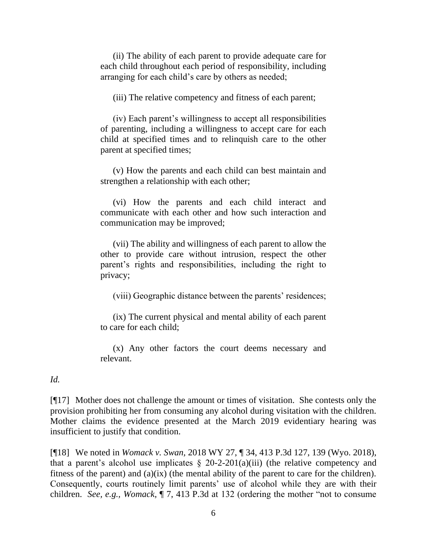(ii) The ability of each parent to provide adequate care for each child throughout each period of responsibility, including arranging for each child's care by others as needed;

(iii) The relative competency and fitness of each parent;

(iv) Each parent's willingness to accept all responsibilities of parenting, including a willingness to accept care for each child at specified times and to relinquish care to the other parent at specified times;

(v) How the parents and each child can best maintain and strengthen a relationship with each other;

(vi) How the parents and each child interact and communicate with each other and how such interaction and communication may be improved;

(vii) The ability and willingness of each parent to allow the other to provide care without intrusion, respect the other parent's rights and responsibilities, including the right to privacy;

(viii) Geographic distance between the parents' residences;

(ix) The current physical and mental ability of each parent to care for each child;

(x) Any other factors the court deems necessary and relevant.

#### *Id.*

[¶17] Mother does not challenge the amount or times of visitation. She contests only the provision prohibiting her from consuming any alcohol during visitation with the children. Mother claims the evidence presented at the March 2019 evidentiary hearing was insufficient to justify that condition.

[¶18] We noted in *Womack v. Swan,* 2018 WY 27, ¶ 34, 413 P.3d 127, 139 (Wyo. 2018), that a parent's alcohol use implicates  $\S$  20-2-201(a)(iii) (the relative competency and fitness of the parent) and (a)(ix) (the mental ability of the parent to care for the children). Consequently, courts routinely limit parents' use of alcohol while they are with their children. *See, e.g., Womack*, ¶ 7, 413 P.3d at 132 (ordering the mother "not to consume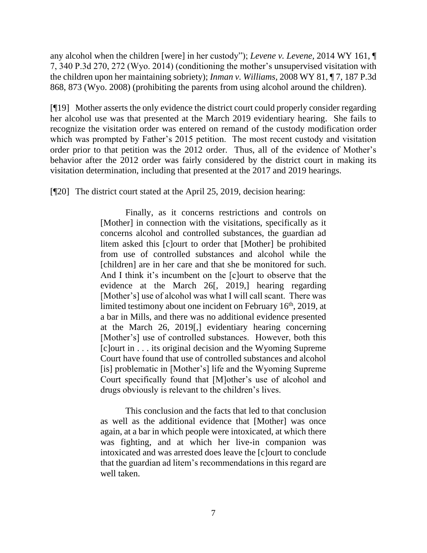any alcohol when the children [were] in her custody"); *Levene v. Levene,* 2014 WY 161, ¶ 7, 340 P.3d 270, 272 (Wyo. 2014) (conditioning the mother's unsupervised visitation with the children upon her maintaining sobriety); *Inman v. Williams,* 2008 WY 81, ¶ 7, 187 P.3d 868, 873 (Wyo. 2008) (prohibiting the parents from using alcohol around the children).

[¶19] Mother asserts the only evidence the district court could properly consider regarding her alcohol use was that presented at the March 2019 evidentiary hearing. She fails to recognize the visitation order was entered on remand of the custody modification order which was prompted by Father's 2015 petition. The most recent custody and visitation order prior to that petition was the 2012 order. Thus, all of the evidence of Mother's behavior after the 2012 order was fairly considered by the district court in making its visitation determination, including that presented at the 2017 and 2019 hearings.

[¶20] The district court stated at the April 25, 2019, decision hearing:

Finally, as it concerns restrictions and controls on [Mother] in connection with the visitations, specifically as it concerns alcohol and controlled substances, the guardian ad litem asked this [c]ourt to order that [Mother] be prohibited from use of controlled substances and alcohol while the [children] are in her care and that she be monitored for such. And I think it's incumbent on the [c]ourt to observe that the evidence at the March 26[, 2019,] hearing regarding [Mother's] use of alcohol was what I will call scant. There was limited testimony about one incident on February 16<sup>th</sup>, 2019, at a bar in Mills, and there was no additional evidence presented at the March 26, 2019[,] evidentiary hearing concerning [Mother's] use of controlled substances. However, both this [c]ourt in . . . its original decision and the Wyoming Supreme Court have found that use of controlled substances and alcohol [is] problematic in [Mother's] life and the Wyoming Supreme Court specifically found that [M]other's use of alcohol and drugs obviously is relevant to the children's lives.

This conclusion and the facts that led to that conclusion as well as the additional evidence that [Mother] was once again, at a bar in which people were intoxicated, at which there was fighting, and at which her live-in companion was intoxicated and was arrested does leave the [c]ourt to conclude that the guardian ad litem's recommendations in this regard are well taken.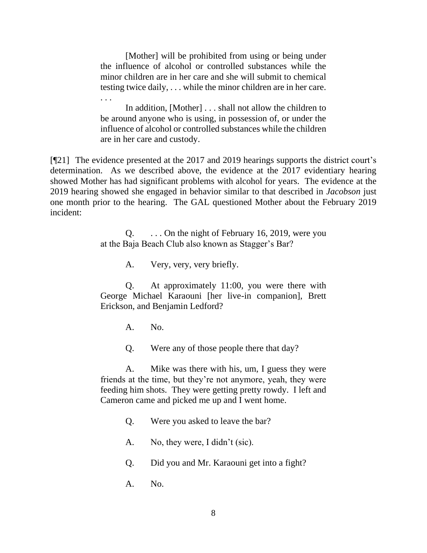[Mother] will be prohibited from using or being under the influence of alcohol or controlled substances while the minor children are in her care and she will submit to chemical testing twice daily, . . . while the minor children are in her care.

In addition, [Mother] . . . shall not allow the children to be around anyone who is using, in possession of, or under the influence of alcohol or controlled substances while the children are in her care and custody.

[¶21] The evidence presented at the 2017 and 2019 hearings supports the district court's determination. As we described above, the evidence at the 2017 evidentiary hearing showed Mother has had significant problems with alcohol for years. The evidence at the 2019 hearing showed she engaged in behavior similar to that described in *Jacobson* just one month prior to the hearing. The GAL questioned Mother about the February 2019 incident:

> Q. . . . On the night of February 16, 2019, were you at the Baja Beach Club also known as Stagger's Bar?

> > A. Very, very, very briefly.

Q. At approximately 11:00, you were there with George Michael Karaouni [her live-in companion], Brett Erickson, and Benjamin Ledford?

A. No.

. . .

Q. Were any of those people there that day?

A. Mike was there with his, um, I guess they were friends at the time, but they're not anymore, yeah, they were feeding him shots. They were getting pretty rowdy. I left and Cameron came and picked me up and I went home.

Q. Were you asked to leave the bar?

A. No, they were, I didn't (sic).

Q. Did you and Mr. Karaouni get into a fight?

A. No.